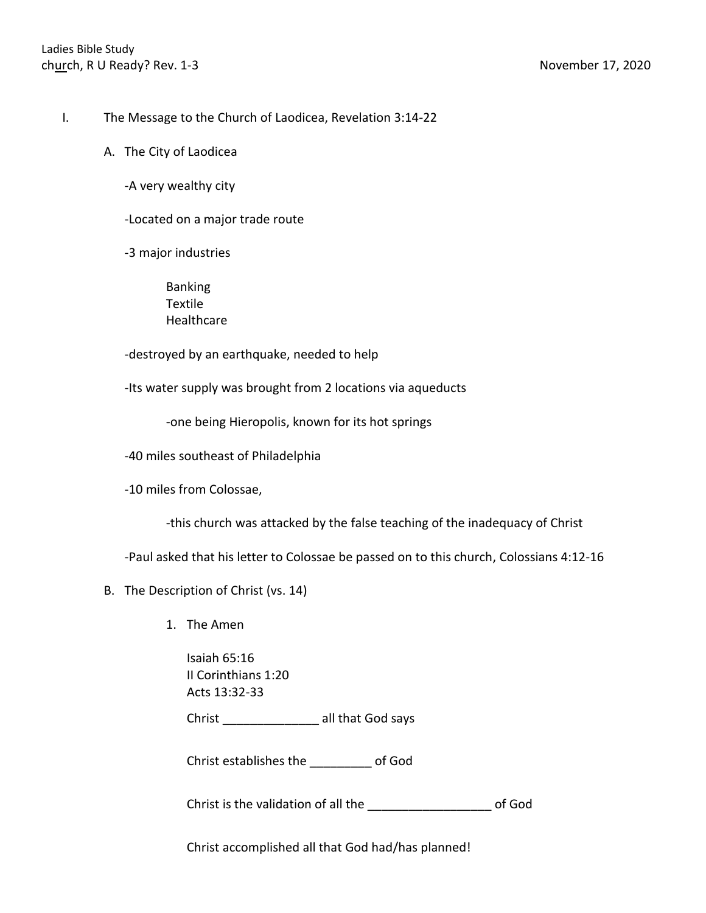- I. The Message to the Church of Laodicea, Revelation 3:14-22
	- A. The City of Laodicea
		- -A very wealthy city
		- -Located on a major trade route
		- -3 major industries
			- Banking Textile **Healthcare**
		- -destroyed by an earthquake, needed to help
		- -Its water supply was brought from 2 locations via aqueducts
			- -one being Hieropolis, known for its hot springs
		- -40 miles southeast of Philadelphia
		- -10 miles from Colossae,
			- -this church was attacked by the false teaching of the inadequacy of Christ
		- -Paul asked that his letter to Colossae be passed on to this church, Colossians 4:12-16
	- B. The Description of Christ (vs. 14)
		- 1. The Amen
			- Isaiah 65:16 II Corinthians 1:20 Acts 13:32-33
			- Christ \_\_\_\_\_\_\_\_\_\_\_\_\_\_ all that God says
			- Christ establishes the \_\_\_\_\_\_\_\_\_ of God

Christ is the validation of all the \_\_\_\_\_\_\_\_\_\_\_\_\_\_\_\_\_\_ of God

Christ accomplished all that God had/has planned!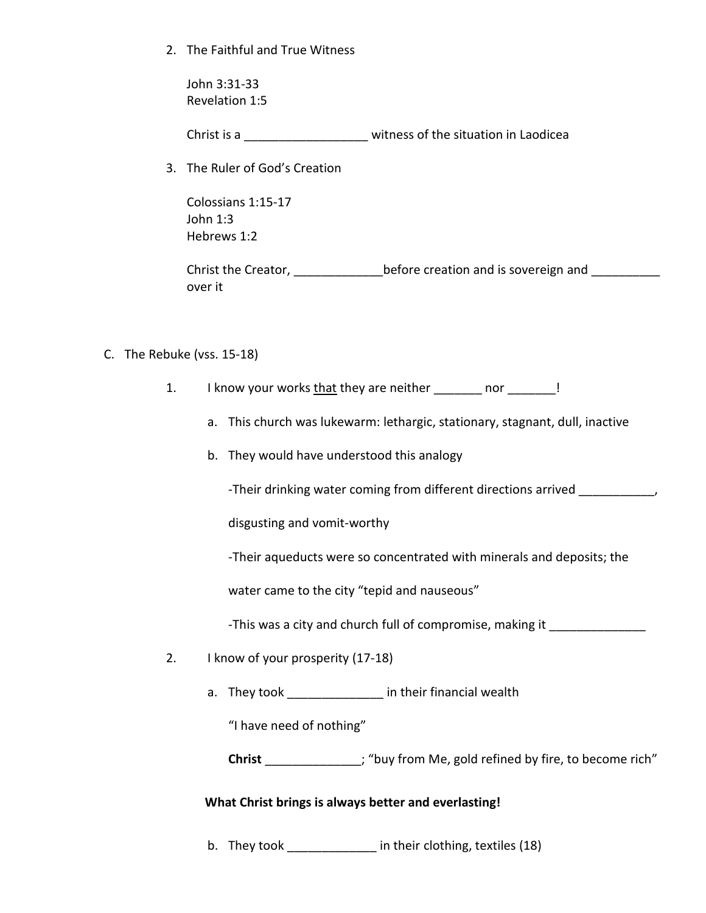2. The Faithful and True Witness

John 3:31-33 Revelation 1:5

Christ is a **Christ** is a contract the situation in Laodicea

3. The Ruler of God's Creation

Colossians 1:15-17 John 1:3 Hebrews 1:2

Christ the Creator, \_\_\_\_\_\_\_\_\_\_\_\_\_\_\_\_before creation and is sovereign and \_\_\_\_\_\_\_\_ over it

- C. The Rebuke (vss. 15-18)
	- 1. I know your works that they are neither and resolution or the set of the set of the set of the set of the s
		- a. This church was lukewarm: lethargic, stationary, stagnant, dull, inactive
		- b. They would have understood this analogy

-Their drinking water coming from different directions arrived

disgusting and vomit-worthy

-Their aqueducts were so concentrated with minerals and deposits; the

water came to the city "tepid and nauseous"

-This was a city and church full of compromise, making it

- 2. I know of your prosperity (17-18)
	- a. They took \_\_\_\_\_\_\_\_\_\_\_\_\_\_\_ in their financial wealth

"I have need of nothing"

**Christ** \_\_\_\_\_\_\_\_\_\_\_\_\_\_; "buy from Me, gold refined by fire, to become rich"

### **What Christ brings is always better and everlasting!**

b. They took \_\_\_\_\_\_\_\_\_\_\_\_\_ in their clothing, textiles (18)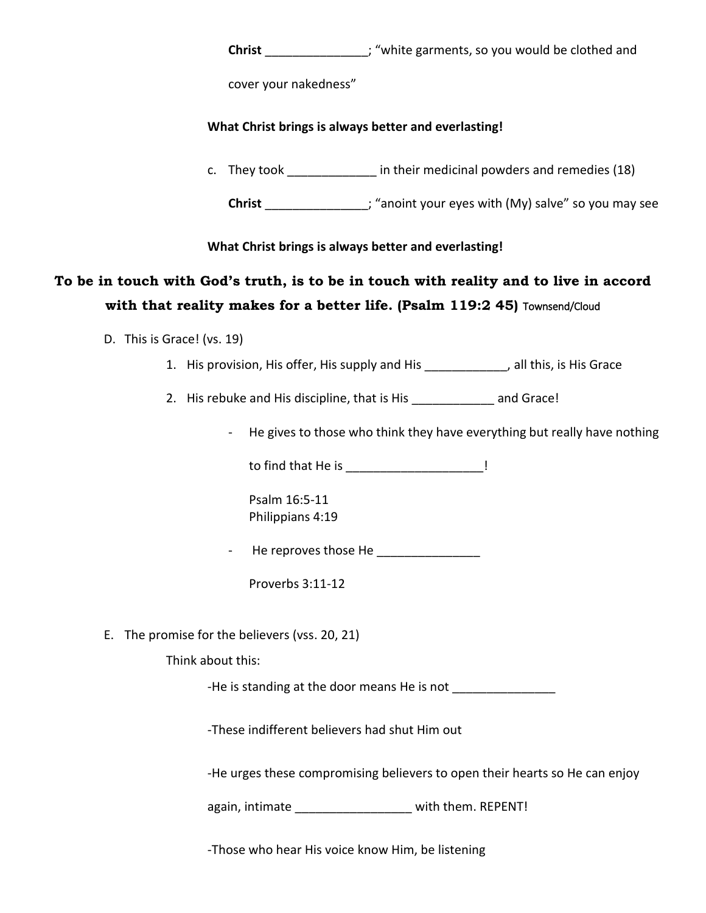**Christ Christ Christ Christ Christ Christ Christ Christ Christ Christ Christ Christ Christ Christ Christ Christ Christ Christ Christ Christ Christ Christ Christ Christ Chris** 

cover your nakedness"

### **What Christ brings is always better and everlasting!**

c. They took **in their medicinal powders and remedies (18)** 

**Christ** \_\_\_\_\_\_\_\_\_\_\_\_\_\_\_; "anoint your eyes with (My) salve" so you may see

### **What Christ brings is always better and everlasting!**

# **To be in touch with God's truth, is to be in touch with reality and to live in accord with that reality makes for a better life. (Psalm 119:2 45)** Townsend/Cloud

- D. This is Grace! (vs. 19)
	- 1. His provision, His offer, His supply and His \_\_\_\_\_\_\_\_\_\_\_\_, all this, is His Grace

2. His rebuke and His discipline, that is His **Example 2. His reduce**!

- He gives to those who think they have everything but really have nothing

to find that He is \_\_\_\_\_\_\_\_\_\_\_\_\_\_\_\_\_\_\_\_\_\_\_\_!

Psalm 16:5-11 Philippians 4:19

- He reproves those He \_\_\_\_\_\_\_\_\_\_\_\_\_\_\_

Proverbs 3:11-12

E. The promise for the believers (vss. 20, 21)

Think about this:

-He is standing at the door means He is not \_\_\_\_\_\_\_\_\_\_\_\_\_\_\_

-These indifferent believers had shut Him out

-He urges these compromising believers to open their hearts so He can enjoy

again, intimate \_\_\_\_\_\_\_\_\_\_\_\_\_\_\_\_\_ with them. REPENT!

-Those who hear His voice know Him, be listening